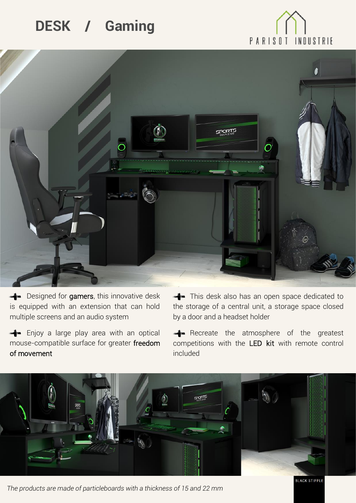## **DESK / Gaming**





Designed for gamers, this innovative desk is equipped with an extension that can hold multiple screens and an audio system

Enjoy a large play area with an optical mouse-compatible surface for greater freedom of movement

This desk also has an open space dedicated to the storage of a central unit, a storage space closed by a door and a headset holder

Recreate the atmosphere of the greatest competitions with the LED kit with remote control included



*The products are made of particleboards with a thickness of 15 and 22 mm*

**BLACK STIPPLE**